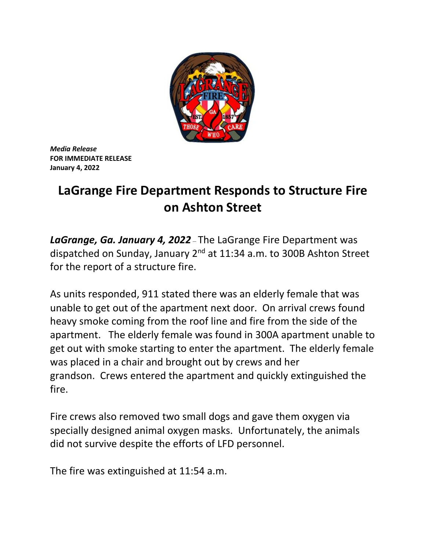

*Media Release* **FOR IMMEDIATE RELEASE January 4, 2022**

## **LaGrange Fire Department Responds to Structure Fire on Ashton Street**

*LaGrange, Ga. January 4, 2022* – The LaGrange Fire Department was dispatched on Sunday, January 2nd at 11:34 a.m. to 300B Ashton Street for the report of a structure fire.

As units responded, 911 stated there was an elderly female that was unable to get out of the apartment next door. On arrival crews found heavy smoke coming from the roof line and fire from the side of the apartment. The elderly female was found in 300A apartment unable to get out with smoke starting to enter the apartment. The elderly female was placed in a chair and brought out by crews and her grandson. Crews entered the apartment and quickly extinguished the fire.

Fire crews also removed two small dogs and gave them oxygen via specially designed animal oxygen masks. Unfortunately, the animals did not survive despite the efforts of LFD personnel.

The fire was extinguished at 11:54 a.m.